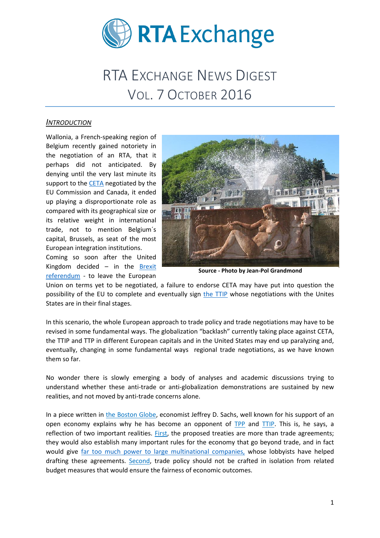

# RTA EXCHANGE NEWS DIGEST VOL. 7 OCTOBER 2016

#### *INTRODUCTION*

Wallonia, a French-speaking region of Belgium recently gained notoriety in the negotiation of an RTA, that it perhaps did not anticipated. By denying until the very last minute its support to the [CETA](http://ec.europa.eu/trade/policy/in-focus/ceta/) negotiated by the EU Commission and Canada, it ended up playing a disproportionate role as compared with its geographical size or its relative weight in international trade, not to mention Belgium´s capital, Brussels, as seat of the most European integration institutions.

Coming so soon after the United Kingdom decided – in the [Brexit](http://www.economist.com/brexit)  [referendum](http://www.economist.com/brexit) - to leave the European



**Source - Photo by Jean-Pol Grandmond**

Union on terms yet to be negotiated, a failure to endorse CETA may have put into question the possibility of the EU to complete and eventually sign [the TTIP](http://ec.europa.eu/trade/policy/in-focus/ttip/) whose negotiations with the Unites States are in their final stages.

In this scenario, the whole European approach to trade policy and trade negotiations may have to be revised in some fundamental ways. The globalization "backlash" currently taking place against CETA, the TTIP and TTP in different European capitals and in the United States may end up paralyzing and, eventually, changing in some fundamental ways regional trade negotiations, as we have known them so far.

No wonder there is slowly emerging a body of analyses and academic discussions trying to understand whether these anti-trade or anti-globalization demonstrations are sustained by new realities, and not moved by anti-trade concerns alone.

In a piece written in the Boston Globe, economist Jeffrey D. Sachs, well known for his support of an open economy explains why he has become an opponent of TPP and TTIP. This is, he says, a reflection of two important realities. First, the proposed treaties are more than trade agreements; they would also establish many important rules for the economy that go beyond trade, and in fact would give [far too much power to large multinational companies,](https://www.bostonglobe.com/opinion/2016/10/16/the-truth-about-trade/UWtu8jpAo8LTsTFlffaZ0K/story.html) whose lobbyists have helped drafting these agreements. Second, trade policy should not be crafted in isolation from related budget measures that would ensure the fairness of economic outcomes.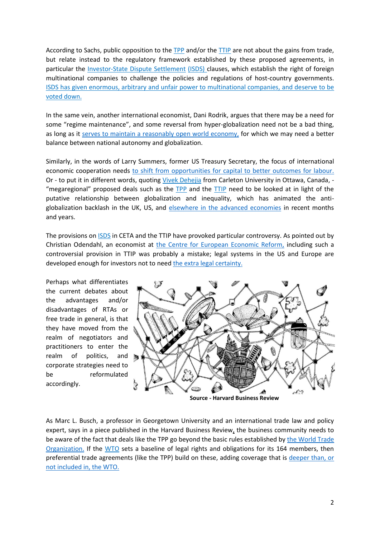According to Sachs, public opposition to the TPP and/or the TTIP are not about the gains from trade, but relate instead to the regulatory framework established by these proposed agreements, in particular the Investor-State Dispute Settlement (ISDS) clauses, which establish the right of foreign multinational companies to challenge the policies and regulations of host-country governments. ISDS has given enormous, arbitrary and unfair power to multinational companies, and deserve to be voted down.

In the same vein, another international economist, Dani Rodrik, argues that there may be a need for some "regime maintenance", and some reversal from hyper-globalization need not be a bad thing, as long as it [serves to maintain a reasonably open world economy,](https://www.project-syndicate.org/commentary/protectionism-for-global-openness-by-dani-rodrik-2016-10?utm_source=Temporary+signups+on+site&utm_campaign=6fa8a9bc67-Stiglitz_How_Trump_tempsignups_16_10_2016&utm_medium=email&utm_term=0_85daf1562e-6fa8a9bc67-104817725) for which we may need a better balance between national autonomy and globalization.

Similarly, in the words of Larry Summers, former US Treasury Secretary, the focus of international economic cooperation needs [to shift from opportunities for capital to better outcomes for labour.](https://www.washingtonpost.com/opinions/the-global-economy-has-entered-unexplored-dangerous-territory/2016/10/09/a04852ac-8e24-11e6-a6a3-d50061aa9fae_story.html?utm_term=.1a3c55790bce) Or - to put it in different words, quoting Vivek Dehejia from Carleton University in Ottawa, Canada, -"megaregional" proposed deals such as the TPP and the TTIP need to be looked at in light of the putative relationship between globalization and inequality, which has animated the antiglobalization backlash in the UK, US, and [elsewhere in the advanced economies](http://www.livemint.com/Opinion/XMLZoRbGChlm88qUR0PdpK/Jagdish-Bhagwati-and-trade-issues-today.html) in recent months and years.

The provisions on ISDS in CETA and the TTIP have provoked particular controversy. As pointed out by Christian Odendahl, an economist at [the Centre for European Economic Reform,](http://www.cer.org.uk/) including such a controversial provision in TTIP was probably a mistake; legal systems in the US and Europe are developed enough for investors not to need [the extra legal certainty.](http://www.economist.com/news/finance-and-economics/21707940-lacking-clear-american-leadership-global-trade-agenda-floundering-hard)

Perhaps what differentiates the current debates about the advantages and/or disadvantages of RTAs or free trade in general, is that they have moved from the realm of negotiators and practitioners to enter the realm of politics, and corporate strategies need to be reformulated accordingly.



As Marc L. Busch, a professor in Georgetown University and an international trade law and policy expert, says in a piece published in the Harvard Business Review, the business community needs to be aware of the fact that deals like the TPP go beyond the basic rules established by [the World Trade](https://www.wto.org/)  [Organization.](https://www.wto.org/) If the WTO sets a baseline of legal rights and obligations for its 164 members, then preferential trade agreements (like the TPP) build on these, adding coverage that is [deeper than, or](https://hbr.org/2016/10/executives-need-to-know-how-trade-deals-shape-their-markets)  [not included in, the WTO.](https://hbr.org/2016/10/executives-need-to-know-how-trade-deals-shape-their-markets)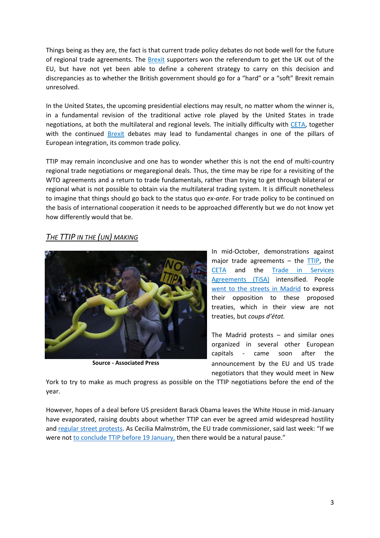Things being as they are, the fact is that current trade policy debates do not bode well for the future of regional trade agreements. The Brexit supporters won the referendum to get the UK out of the EU, but have not yet been able to define a coherent strategy to carry on this decision and discrepancies as to whether the British government should go for a "hard" or a "soft" Brexit remain unresolved.

In the United States, the upcoming presidential elections may result, no matter whom the winner is, in a fundamental revision of the traditional active role played by the United States in trade negotiations, at both the multilateral and regional levels. The initially difficulty with CETA, together with the continued **Brexit** debates may lead to fundamental changes in one of the pillars of European integration, its common trade policy.

TTIP may remain inconclusive and one has to wonder whether this is not the end of multi-country regional trade negotiations or megaregional deals. Thus, the time may be ripe for a revisiting of the WTO agreements and a return to trade fundamentals, rather than trying to get through bilateral or regional what is not possible to obtain via the multilateral trading system. It is difficult nonetheless to imagine that things should go back to the status quo *ex-ante*. For trade policy to be continued on the basis of international cooperation it needs to be approached differently but we do not know yet how differently would that be.

### *THE TTIP IN THE (UN) MAKING*



**Source - Associated Press**

In mid-October, demonstrations against major trade agreements  $-$  the  $TTIP$ , the CETA and the Trade in Services Agreements (TiSA) intensified. People [went to the streets in Madrid](http://www.dailymail.co.uk/wires/ap/article-3840472/Hundreds-Madrid-protest-US-Europe-Canada-EU-trade-deals.html#ixzz4NKtbWYnV) to express their opposition to these proposed treaties, which in their view are not treaties, but *coups d'état.*

The Madrid protests  $-$  and similar ones organized in several other European capitals - came soon after the announcement by the EU and US trade negotiators that they would meet in New

York to try to make as much progress as possible on the TTIP negotiations before the end of the year.

However, hopes of a deal before US president Barack Obama leaves the White House in mid-January have evaporated, raising doubts about whether TTIP can ever be agreed amid widespread hostility and [regular street protests.](https://www.theguardian.com/business/2016/sep/17/ttip-protests-see-crowds-take-to-streets-of-seven-german-cities) As Cecilia Malmström, the EU trade commissioner, said last week: "If we were not [to conclude TTIP before 19 January,](https://www.theguardian.com/business/2016/sep/30/ttip-eu-and-us-trade-negotiators-seek-to-get-talks-back-on-track) then there would be a natural pause."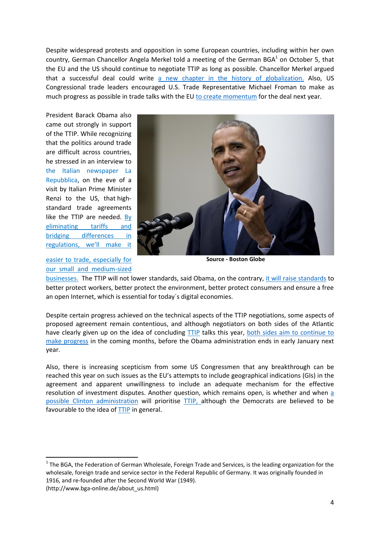Despite widespread protests and opposition in some European countries, including within her own country, German Chancellor Angela Merkel told a meeting of the German BGA $^1$  on October 5, that the EU and the US should continue to negotiate TTIP as long as possible. Chancellor Merkel argued that a successful deal could write [a new chapter in the history of globalization.](http://www.reuters.com/article/us-eu-usa-ttip-germany-idUSKCN1251HZ?il=0) Also, US Congressional trade leaders encouraged U.S. Trade Representative Michael Froman to make as much progress as possible in trade talks with the EU [to create momentum](http://www.politico.com/tipsheets/morning-trade/2016/10/hostage-negotiations-continue-in-new-york-216667) for the deal next year.

President Barack Obama also came out strongly in support of the TTIP. While recognizing that the politics around trade are difficult across countries, he stressed in an interview to the Italian newspaper La Repubblica, on the eve of a visit by Italian Prime Minister Renzi to the US, that highstandard trade agreements like the TTIP are needed. By eliminating tariffs and bridging differences in regulations, we'll make it



easier to trade, especially for our small and medium-sized

1

**Source - Boston Globe**

businesses. The TTIP will not lower standards, said Obama, on the contrary, [it will raise standards](http://www.repubblica.it/esteri/2016/10/18/news/obama_austerity_measures_contributed_to_slower_growth_in_europe-150019546/?refresh_ce) to better protect workers, better protect the environment, better protect consumers and ensure a free an open Internet, which is essential for today´s digital economies.

Despite certain progress achieved on the technical aspects of the TTIP negotiations, some aspects of proposed agreement remain contentious, and although negotiators on both sides of the Atlantic have clearly given up on the idea of concluding TTIP talks this year, both sides aim to continue to [make progress](http://www.euractiv.com/section/trade-society/news/eu-us-negotiators-officially-drop-aim-of-concluding-ttip-in-2016/) in the coming months, before the Obama administration ends in early January next year.

Also, there is increasing scepticism from some US Congressmen that any breakthrough can be reached this year on such issues as the EU's attempts to include geographical indications (GIs) in the agreement and apparent unwillingness to include an adequate mechanism for the effective resolution of investment disputes. Another question, which remains open, is whether and when [a](http://www.euractiv.com/section/trade-society/news/eu-us-negotiators-officially-drop-aim-of-concluding-ttip-in-2016/)  [possible Clinton administration](http://www.euractiv.com/section/trade-society/news/eu-us-negotiators-officially-drop-aim-of-concluding-ttip-in-2016/) will prioritise TTIP, although the Democrats are believed to be favourable to the idea of TTIP in general.

 $1$  The BGA, the Federation of German Wholesale, Foreign Trade and Services, is the leading organization for the wholesale, foreign trade and service sector in the Federal Republic of Germany. It was originally founded in 1916, and re-founded after the Second World War (1949). (http://www.bga-online.de/about\_us.html)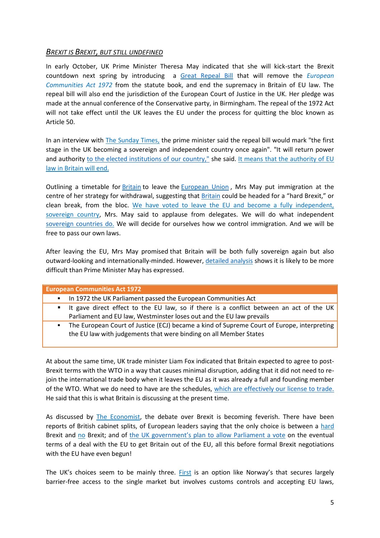#### *BREXIT IS BREXIT, BUT STILL UNDEFINED*

In early October, UK Prime Minister Theresa May indicated that she will kick-start the Brexit countdown next spring by introducing a [Great Repeal Bill](http://www.bbc.com/news/uk-politics-37532364) that will remove the *European Communities Act 1972* from the statute book, and end the supremacy in Britain of EU law. The repeal bill will also end the jurisdiction of the European Court of Justice in the UK. Her pledge was made at the annual conference of the Conservative party, in Birmingham. The repeal of the 1972 Act will not take effect until the UK leaves the EU under the process for quitting the bloc known as Article 50.

In an interview with The Sunday Times, the prime minister said the repeal bill would mark "the first stage in the UK becoming a sovereign and independent country once again". "It will return power and authority [to the elected institutions of our country,"](http://www.thetimes.co.uk/edition/news/may-fires-brexit-starting-gun-7hrtn6lvl) she said. It means that the authority of EU law in Britain will end.

Outlining a timetable for **[Britain](http://www.nytimes.com/topic/destination/great-britain?8qa)** to leave the **[European Union](http://www.nytimes.com/topic/organization/european-union?8qa)**, Mrs May put immigration at the centre of her strategy for withdrawal, suggesting that [Britain](http://topics.nytimes.com/top/news/international/countriesandterritories/unitedkingdom/index.html?inline=nyt-geo) could be headed for a "hard Brexit," or clean break, from the bloc. We have voted to leave the EU and become a fully independent, sovereign country, Mrs. May said to applause from delegates. We will do what independent [sovereign countries do.](http://www.nytimes.com/2016/10/03/world/europe/brexit-talks-march-theresa-may-britain.html?emc=edit_th_20161003&nl=todaysheadlines&nlid=59885640&_r=1) We will decide for ourselves how we control immigration. And we will be free to pass our own laws.

After leaving the EU, Mrs May promised that Britain will be both fully sovereign again but also outward-looking and internationally-minded. However, [detailed analysis](http://www.telegraph.co.uk/news/2016/10/18/analysis-great-britain-can-go-global-with-hard-brexit-but-what-w/) shows it is likely to be more difficult than Prime Minister May has expressed.

| <b>European Communities Act 1972</b> |  |
|--------------------------------------|--|
|                                      |  |

- In 1972 the UK Parliament passed the European Communities Act
- It gave direct effect to the EU law, so if there is a conflict between an act of the UK Parliament and EU law, Westminster loses out and the EU law prevails
- The European Court of Justice (ECJ) became a kind of Supreme Court of Europe, interpreting the EU law with judgements that were binding on all Member States

At about the same time, UK trade minister Liam Fox indicated that Britain expected to agree to post-Brexit terms with the WTO in a way that causes minimal disruption, adding that it did not need to rejoin the international trade body when it leaves the EU as it was already a full and founding member of the WTO. What we do need to have are the schedules, [which are effectively our license to trade.](http://uk.reuters.com/article/uk-britain-eu-fox-wto-idUKKCN1220I9) He said that this is what Britain is discussing at the present time.

As discussed by The Economist, the debate over Brexit is becoming feverish. There have been reports of British cabinet splits, of European leaders saying that the only choice is between a hard Brexit and no Brexit; and of the UK g[overnment's plan to allow Parliament a vote](http://www.economist.com/node/21709026) on the eventual terms of a deal with the EU to get Britain out of the EU, all this before formal Brexit negotiations with the EU have even begun!

The UK's choices seem to be mainly three. First is an option like Norway's that secures largely barrier-free access to the single market but involves customs controls and accepting EU laws,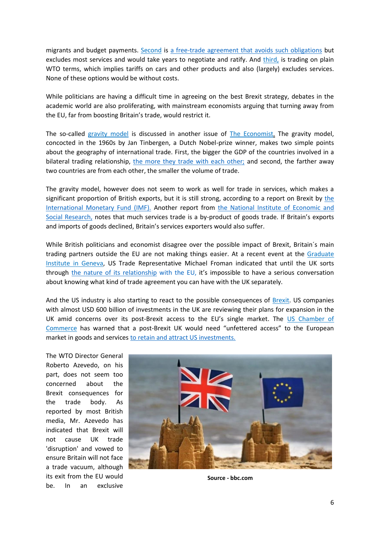migrants and budget payments. Second is [a free-trade agreement that avoids such obligations](http://www.economist.com/node/21709026) but excludes most services and would take years to negotiate and ratify. And third, is trading on plain WTO terms, which implies tariffs on cars and other products and also (largely) excludes services. None of these options would be without costs.

While politicians are having a difficult time in agreeing on the best Brexit strategy, debates in the academic world are also proliferating, with mainstream economists arguing that turning away from the EU, far from boosting Britain's trade, would restrict it.

The so-called gravity model is discussed in another issue of The Economist. The gravity model, concocted in the 1960s by Jan Tinbergen, a Dutch Nobel-prize winner, makes two simple points about the geography of international trade. First, the bigger the GDP of the countries involved in a bilateral trading relationship, [the more they trade with each other;](http://www.economist.com/news/finance-and-economics/21707912-brexiteers-need-respect-gravity-models-international-trade-down-earth) and second, the farther away two countries are from each other, the smaller the volume of trade.

The gravity model, however does not seem to work as well for trade in services, which makes a significant proportion of British exports, but it is still strong, according to a report on Brexit by [the](http://www.imf.org/external/index.htm)  [International Monetary Fund \(IMF\).](http://www.imf.org/external/index.htm) Another report from [the National Institute of Economic and](http://www.niesr.ac.uk/)  [Social Research,](http://www.niesr.ac.uk/) notes that much services trade is a by-product of goods trade. If Britain's exports and imports of goods declined, Britain's services exporters would also suffer.

While British politicians and economist disagree over the possible impact of Brexit, Britain's main trading partners outside the EU are not making things easier. At a recent event at the Graduate Institute in Geneva, US Trade Representative Michael Froman indicated that until the UK sorts through [the nature of its relationship](https://ustr.gov/about-us/policy-offices/press-office/speechestranscripts/2016/october/Remarks-Amb-Froman-Graduate-Institute-Geneva) with the EU, it's impossible to have a serious conversation about knowing what kind of trade agreement you can have with the UK separately.

And the US industry is also starting to react to the possible consequences of Brexit. US companies with almost USD 600 billion of investments in the UK are reviewing their plans for expansion in the UK amid concerns over its post-Brexit access to the EU's single market. The US Chamber of Commerce has warned that a post-Brexit UK would need "unfettered access" to the European market in goods and services [to retain and attract US investments.](http://uk.businessinsider.com/us-chamber-of-commerce-warning-over-brexit-2016-10)

The WTO Director General Roberto Azevedo, on his part, does not seem too concerned about the Brexit consequences for the trade body. As reported by most British media, Mr. Azevedo has indicated that Brexit will not cause UK trade 'disruption' and vowed to ensure Britain will not face a trade vacuum, although its exit from the EU would be. In an exclusive



**Source - bbc.com**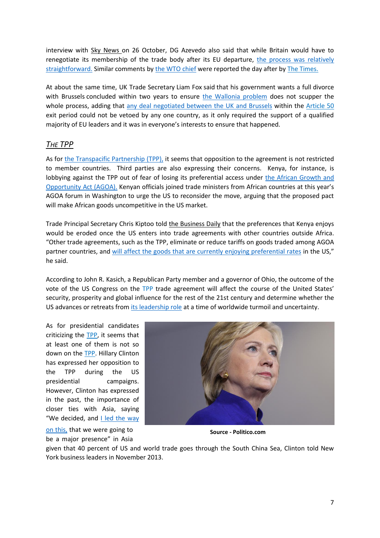interview with Sky News on 26 October, DG Azevedo also said that while Britain would have to renegotiate its membership of the trade body after its EU departure, [the process was relatively](http://news.sky.com/story/brexit-will-not-cause-uk-trade-disruption-wto-boss-10632803)  [straightforward.](http://news.sky.com/story/brexit-will-not-cause-uk-trade-disruption-wto-boss-10632803) Similar comments by [the WTO chief](http://www.thetimes.co.uk/article/world-trade-chief-vows-to-ease-pain-of-eu-deal-qx926nb82) were reported the day after by The Times.

At about the same time, UK Trade Secretary Liam Fox said that his government wants a full [divorce](http://www.politico.eu/pro/brexit-throws-eu-budget-off-course-uk-jes-geier-europe/)  [with Brussels](http://www.politico.eu/pro/brexit-throws-eu-budget-off-course-uk-jes-geier-europe/) concluded within two years to ensure [the Wallonia problem](http://www.bbc.com/news/world-europe-37755267) does not scupper the whole process, adding that [any deal negotiated between the UK](http://www.politico.eu/article/liam-fox-seeks-quick-eu-deal-to-avoid-wallonian-problem/) and Brussels within the Article 50 exit period could not be vetoed by any one country, as it only required the support of a qualified majority of EU leaders and it was in everyone's interests to ensure that happened.

#### *THE TPP*

As for [the Transpacific Partnership \(TPP\),](https://ustr.gov/tpp/) it seems that opposition to the agreement is not restricted to member countries. Third parties are also expressing their concerns. Kenya, for instance, is lobbying against the TPP out of fear of losing its preferential access under [the African Growth and](http://trade.gov/agoa/)  [Opportunity Act \(AGOA\).](http://trade.gov/agoa/) Kenyan officials joined trade ministers from African countries at this year's AGOA forum in Washington to urge the US to reconsider the move, arguing that the proposed pact will make African goods uncompetitive in the US market.

Trade Principal Secretary Chris Kiptoo told the Business Daily that the preferences that Kenya enjoys would be eroded once the US enters into trade agreements with other countries outside Africa. "Other trade agreements, such as the TPP, eliminate or reduce tariffs on goods traded among AGOA partner countries, and [will affect the goods that are currently enjoying preferential rates](http://www.nation.co.ke/news/Kenya-joins-campaign-against-US-trade-deal-with-Asia/1056-3399934-j850dwz/index.html) in the US," he said.

According to John R. Kasich, a Republican Party member and a governor of Ohio, the outcome of the vote of the US Congress on the TPP trade agreement will affect the course of the United States' security, prosperity and global influence for the rest of the 21st century and determine whether the US advances or retreats from its [leadership role](https://www.washingtonpost.com/opinions/john-kasich-refusing-to-ratify-tpp-risks-americas-role-as-the-world-leader/2016/10/12/a8f8d6fe-9092-11e6-9c52-0b10449e33c4_story.html?utm_term=.0fbeeb25c0f3) at a time of worldwide turmoil and uncertainty.

As for presidential candidates criticizing the TPP, it seems that at least one of them is not so down on the TPP. Hillary Clinton has expressed her opposition to the TPP during the US presidential campaigns. However, Clinton has expressed in the past, the importance of closer ties with Asia, saying "We decided, and I led the way

[on this,](http://www.politico.com/story/2016/10/hillary-clinton-trade-deal-229381) that we were going to be a major presence" in Asia



**Source - Politico.com**

given that 40 percent of US and world trade goes through the South China Sea, Clinton told New York business leaders in November 2013.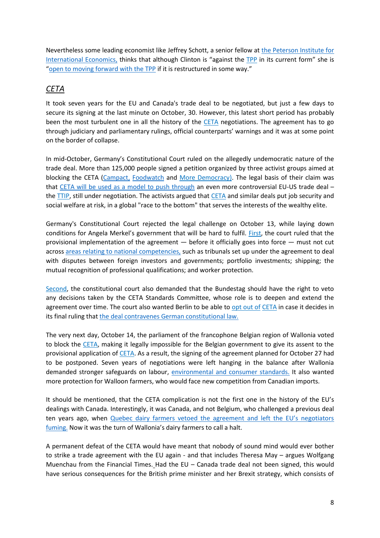Nevertheless some leading economist like Jeffrey Schott, a senior fellow a[t the Peterson Institute for](https://piie.com/)  [International Economics,](https://piie.com/) thinks that although Clinton is "against the TPP in its current form" she is "[open to moving forward with the TPP](http://www.politico.com/story/2016/10/hillary-clinton-trade-deal-229381) if it is restructured in some way."

## *CETA*

It took seven years for the EU and Canada's trade deal to be negotiated, but just a few days to secure its signing at the last minute on October, 30. However, this latest short period has probably been the most turbulent one in all the history of the CETA negotiations. The agreement has to go through judiciary and parliamentary rulings, official counterparts' warnings and it was at some point on the border of collapse.

In mid-October, Germany's Constitutional Court ruled on the allegedly undemocratic nature of the trade deal. More than 125,000 people signed a petition organized by three activist groups aimed at blocking the CETA [\(Campact,](https://www.campact.de/ceta/) [Foodwatch](http://www.foodwatch.org/en/homepage/) and More Democracy). The legal basis of their claim was that [CETA will be used as a model to push through](http://www.bbc.com/news/world-europe-37642261) an even more controversial EU-US trade deal the TTIP, still under negotiation. The activists argued that CETA and similar deals put job security and social welfare at risk, in a global "race to the bottom" that serves the interests of the wealthy elite.

Germany's Constitutional Court rejected the legal challenge on October 13, while laying down conditions for Angela Merkel's government that will be hard to fulfil. First, the court ruled that the provisional implementation of the agreement — before it officially goes into force — must not cut across [areas relating to national competencies,](https://www.ft.com/content/6f72f64e-9218-11e6-8df8-d3778b55a923) such as tribunals set up under the agreement to deal with disputes between foreign investors and governments; portfolio investments; shipping; the mutual recognition of professional qualifications; and worker protection.

Second, the constitutional court also demanded that the Bundestag should have the right to veto any decisions taken by the CETA Standards Committee, whose role is to deepen and extend the agreement over time. The court also wanted Berlin to be able to opt out of CETA in case it decides in its final ruling that [the deal contravenes German constitutional law.](https://www.ft.com/content/6f72f64e-9218-11e6-8df8-d3778b55a923)

The very next day, October 14, the parliament of the francophone Belgian region of Wallonia voted to block the CETA, making it legally impossible for the Belgian government to give its assent to the provisional application of CETA. As a result, the signing of the agreement planned for October 27 had to be postponed. Seven years of negotiations were left hanging in the balance after Wallonia demanded stronger safeguards on labour, [environmental and consumer standards.](http://www.bbc.com/news/world-europe-37806656) It also wanted more protection for Walloon farmers, who would face new competition from Canadian imports.

It should be mentioned, that the CETA complication is not the first one in the history of the EU's dealings with Canada. Interestingly, it was Canada, and not Belgium, who challenged a previous deal ten years ago, when Quebec dairy farmers vetoed the agreement and left the EU's negotiators [fuming.](https://www.theguardian.com/commentisfree/2016/oct/26/wallonia-hard-brexit-belgian-wales-scotland) Now it was the turn of Wallonia's dairy farmers to call a halt.

A permanent defeat of the CETA would have meant that nobody of sound mind would ever bother to strike a trade agreement with the EU again - and that includes Theresa May – argues Wolfgang Muenchau from the Financial Times. Had the EU – Canada trade deal not been signed, this would have serious consequences for the British prime minister and her Brexit strategy, which consists of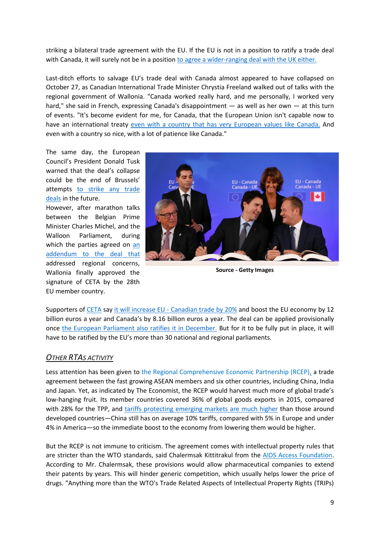striking a bilateral trade agreement with the EU. If the EU is not in a position to ratify a trade deal with Canada, it will surely not be in a positio[n to agree a wider-ranging deal with the UK either.](https://www.ft.com/content/6f72f64e-9218-11e6-8df8-d3778b55a923)

Last-ditch efforts to salvage EU's trade deal with Canada almost appeared to have collapsed on October 27, as Canadian International Trade Minister Chrystia Freeland walked out of talks with the regional government of Wallonia. "Canada worked really hard, and me personally, I worked very hard," she said in French, expressing Canada's disappointment — as well as her own — at this turn of events. "It's become evident for me, for Canada, that the European Union isn't capable now to have an international treaty [even with a country that has very European values like Canada.](http://www.cbc.ca/news/politics/canada-eu-ceta-brussels-friday-1.3815332) And even with a country so nice, with a lot of patience like Canada."

The same day, the European Council's President Donald Tusk warned that the deal's collapse could be the end of Brussels' attempts to strike any trade [deals](http://www.telegraph.co.uk/business/2016/10/27/eus-canada-free-trade-ceta-deal-could-be-back-on-as-walloons-agr/) in the future.

However, after marathon talks between the Belgian Prime Minister Charles Michel, and the Walloon Parliament, during which the parties agreed on an [addendum to the deal](http://www.bbc.com/news/world-europe-37806656) that addressed regional concerns, Wallonia finally approved the signature of CETA by the 28th EU member country.



**Source - Getty Images**

Supporters of CETA say it will increase EU - [Canadian trade by 20%](https://www.theguardian.com/business/2016/oct/30/eu-canada-sign-ceta-free-trade-deal-trudeau-juncker) and boost the EU economy by 12 billion euros a year and Canada's by 8.16 billion euros a year. The deal can be applied provisionally once [the European Parliament also ratifies it in December.](http://www.wsj.com/articles/eu-canada-prepare-to-sign-ceta-trade-deal-1477831000) But for it to be fully put in place, it will have to be ratified by the EU's more than 30 national and regional parliaments.

#### *OTHER RTAS ACTIVITY*

Less attention has been given to [the Regional Comprehensive Economic Partnership \(RCEP\),](http://dfat.gov.au/trade/agreements/rcep/Pages/regional-comprehensive-economic-partnership.aspx) a trade agreement between the fast growing ASEAN members and six other countries, including China, India and Japan. Yet, as indicated by The Economist, the RCEP would harvest much more of global trade's low-hanging fruit. Its member countries covered 36% of global goods exports in 2015, compared with 28% for the TPP, and [tariffs protecting emerging markets are much higher](http://www.economist.com/news/finance-and-economics/21707940-lacking-clear-american-leadership-global-trade-agenda-floundering-hard) than those around developed countries—China still has on average 10% tariffs, compared with 5% in Europe and under 4% in America—so the immediate boost to the economy from lowering them would be higher.

But the RCEP is not immune to criticism. The agreement comes with intellectual property rules that are stricter than the WTO standards, said Chalermsak Kittitrakul from the AIDS Access Foundation. According to Mr. Chalermsak, these provisions would allow pharmaceutical companies to extend their patents by years. This will hinder generic competition, which usually helps lower the price of drugs. "Anything more than the WTO's Trade Related Aspects of Intellectual Property Rights (TRIPs)